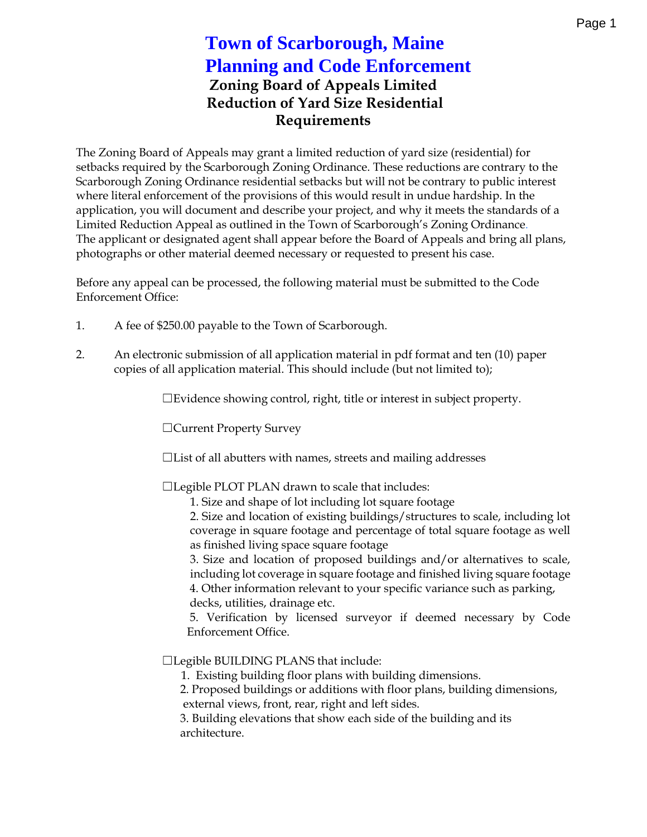## Zoning Board of Appeals Limited Reduction of Yard Size Residential Requirements

The Zoning Board of Appeals may grant a limited reduction of yard size setbacks required by the Scarborough Zoning Ordinance. These redu Scarborough Zoning Ordinance residential setbaoks ubut cwinterrest be c where literal enforcement of the provisions of this would result in ur application, you will document and describe your project, and why it Limited Reduction Appeal as Town is bear bronton of the Ordinance The applicant or designated agent shall appear before the Board of  $\Lambda$ photographs or other material deemed necessary or requested to pre

Before any appeal can be pow chess med tething if mults the submitted to the Content of the Code is alleady and  $\sim$ Enforcement Office:

- 1. A fee of \$250.00 payable to the Town of Scarborough.
- 2. An electronic submission of all application material in pdf forma copies of all application mualtderinacl.  $(b\overline{d}u\overline{d}i\overline{a}$  osthloim ited to
	- & Evidenscheowing on trollght, title or interest in subject propert
	- &Current Property Survey
	- & List of all abutters with names, as detes is easnd mailing
	- &Legible PLOT PLAN drawn to scale that includes:

1. Size and shape of lot including lot square footage 2. Size and location of existing buildings/structures to coverage in square footage and percentage of total sq as finished living space square footage 3. Seizand location of proposed buildings and/or altern

including lot coverage in square footage and finished I 4. Other information relevant to your specific variance decks, utilities, drainage etc.

5. Verification by licensied deemved onecessary by Co  $E$ nforcem $\Omega$ effice.

&Legible BUILDING PLANS that include:

1. Existing building floor plans with building dimension 2. Proposed buildings or additions with floor plans, buil external views, front, rear, right and left sides.

3. Building elevations that show each side of the buildir arch ctteure.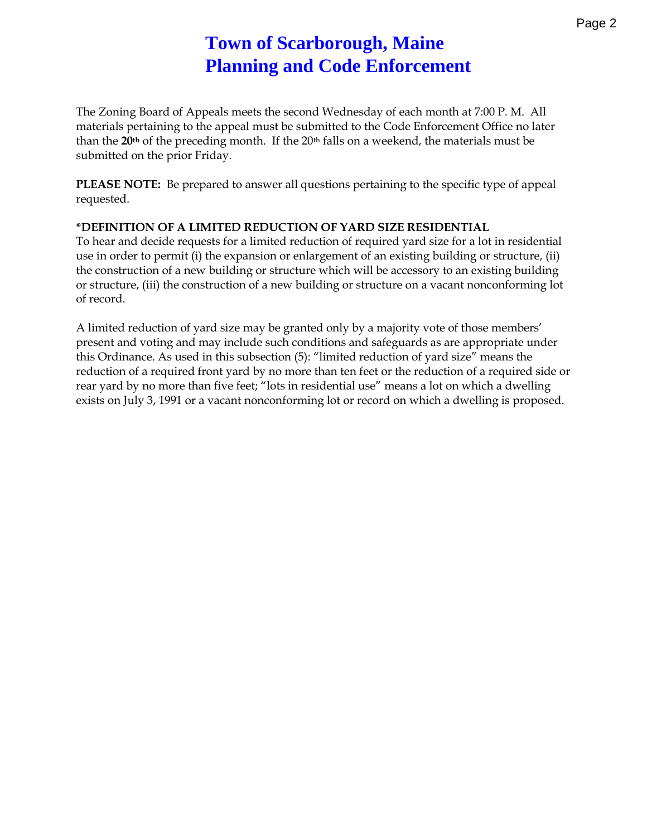## **Town of Scarborough, Maine Planning and Code Enforcement**

The Zoning Board of Appeals meets the second Wednesday of each month at 7:00 P. M. All materials pertaining to the appeal must be submitted to the Code Enforcement Office no later than the **20th** of the preceding month. If the 20th falls on a weekend, the materials must be submitted on the prior Friday.

**PLEASE NOTE:** Be prepared to answer all questions pertaining to the specific type of appeal requested.

## **\*DEFINITION OF A LIMITED REDUCTION OF YARD SIZE RESIDENTIAL**

To hear and decide requests for a limited reduction of required yard size for a lot in residential use in order to permit (i) the expansion or enlargement of an existing building or structure, (ii) the construction of a new building or structure which will be accessory to an existing building or structure, (iii) the construction of a new building or structure on a vacant nonconforming lot of record.

A limited reduction of yard size may be granted only by a majority vote of those members' present and voting and may include such conditions and safeguards as are appropriate under this Ordinance. As used in this subsection (5): "limited reduction of yard size" means the reduction of a required front yard by no more than ten feet or the reduction of a required side or rear yard by no more than five feet; "lots in residential use" means a lot on which a dwelling exists on July 3, 1991 or a vacant nonconforming lot or record on which a dwelling is proposed.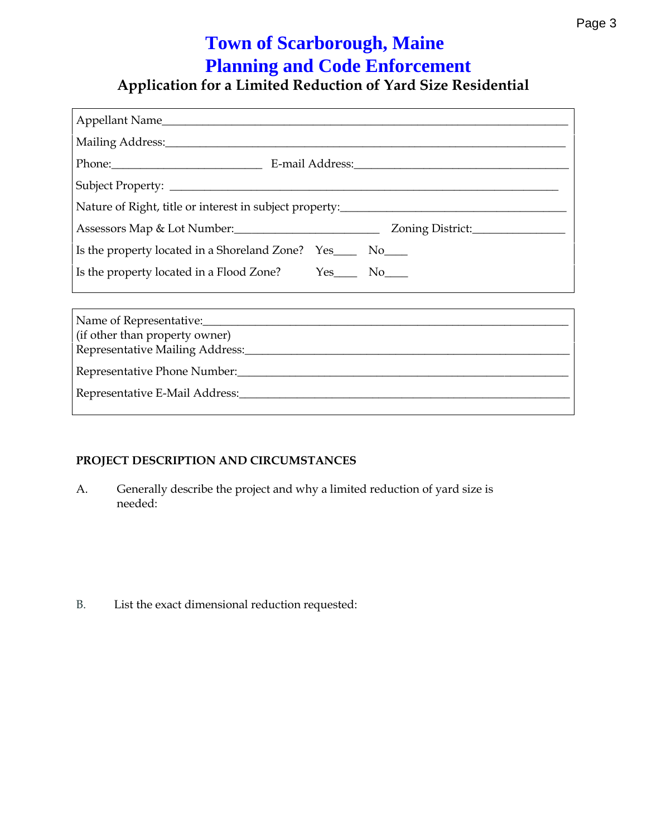Application for a Limited Reduction of Yard Size F

| Nature of Right, title or interest in subject property:__________________________ |                                      |
|-----------------------------------------------------------------------------------|--------------------------------------|
| Assessors Map & Lot Number:                                                       | Zoning District:__¶                  |
| Is the property located in a Shoreland Zone?                                      | $Yes_{---}$ $No_{---}$               |
| Is the property located in a Flood Zone?                                          | $Yes$ <sub>____</sub> $\vert$ No____ |
|                                                                                   |                                      |

| Name of Representative:                              |  |
|------------------------------------------------------|--|
| (if other than property owner)                       |  |
| Representative Mailing Address: ____________________ |  |
| Representative Phone Number: ____________________    |  |
| RepresentaMad Address:___________________            |  |
|                                                      |  |

PROJECT DESCRIPTION AND CIRCUMSTANCES

A. Generally describe the project and why a limited reduction needed :

B. List the exact dimensional reduction requested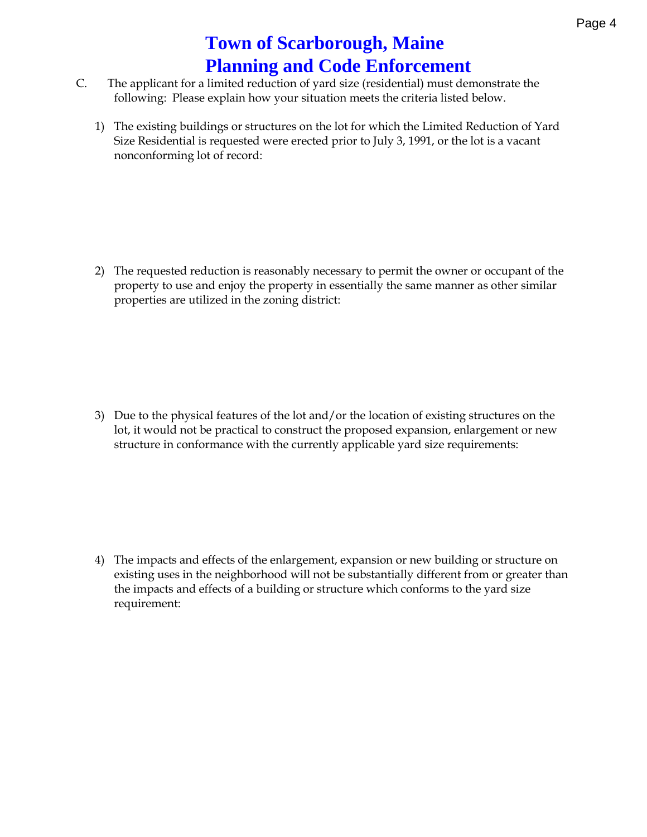- C. The applicant for a limited reduction of yard size (residential) following: Please explain how your situatidome Im wets the criteria
	- 1) The existing buildings or structures on the lot for which the Lim Size Residential is requested were erected prior to July 3, 1991 nonconforming lot: of record

2) The requested reduction is reasonably necessary to permit the o property  $\epsilon$ oams enjoy the property in essentially the same manne properties are utilized in the zoning district:

3) Due to the physical features of the lot and/or the location of ex lot, it would not be practical to construct the proposed expansion structure in conformance with the curseinely eaqpupiremane hetsy ard

4) The impacts and effects of the enlargement, expanise compor new b existing uses in the neighborhood will not be substantially diffe the impacts and effects of a building or structure which conform requirement: